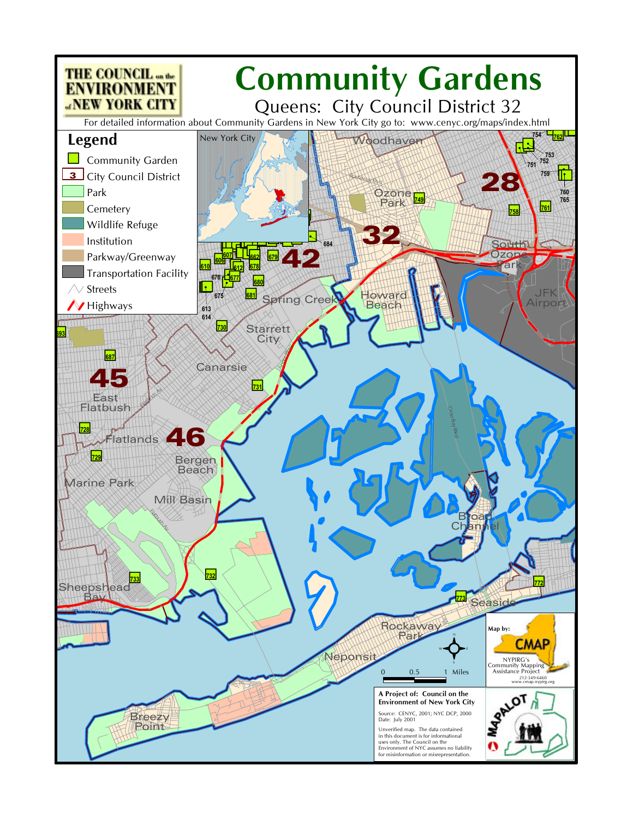